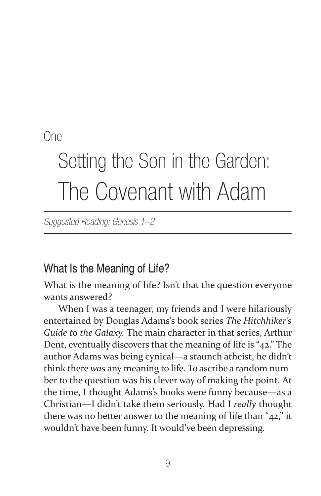One

## Setting the Son in the Garden: The Covenant with Adam

Suggested Reading: Genesis 1–2

## What Is the Meaning of Life?

What is the meaning of life? Isn't that the question everyone wants answered?

When I was a teenager, my friends and I were hilariously entertained by Douglas Adams's book series *The Hitchhiker's Guide to the Galaxy.* The main character in that series, Arthur Dent, eventually discovers that the meaning of life is "42." The author Adams was being cynical—a staunch atheist, he didn't think there *was* any meaning to life. To ascribe a random number to the question was his clever way of making the point. At the time, I thought Adams's books were funny because—as a Christian—I didn't take them seriously. Had I *really* thought there was no better answer to the meaning of life than "42," it wouldn't have been funny. It would've been depressing.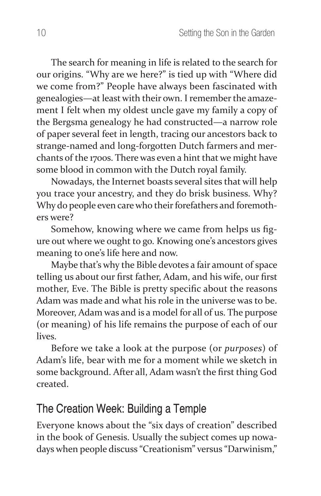The search for meaning in life is related to the search for our origins. "Why are we here?" is tied up with "Where did we come from?" People have always been fascinated with genealogies—at least with their own. I remember the amazement I felt when my oldest uncle gave my family a copy of the Bergsma genealogy he had constructed—a narrow role of paper several feet in length, tracing our ancestors back to strange-named and long-forgotten Dutch farmers and merchants of the 1700s. There was even a hint that we might have some blood in common with the Dutch royal family.

Nowadays, the Internet boasts several sites that will help you trace your ancestry, and they do brisk business. Why? Why do people even care who their forefathers and foremothers were?

Somehow, knowing where we came from helps us figure out where we ought to go. Knowing one's ancestors gives meaning to one's life here and now.

Maybe that's why the Bible devotes a fair amount of space telling us about our first father, Adam, and his wife, our first mother, Eve. The Bible is pretty specific about the reasons Adam was made and what his role in the universe was to be. Moreover, Adam was and is a model for all of us. The purpose (or meaning) of his life remains the purpose of each of our lives.

Before we take a look at the purpose (or *purposes*) of Adam's life, bear with me for a moment while we sketch in some background. After all, Adam wasn't the first thing God created.

## The Creation Week: Building a Temple

Everyone knows about the "six days of creation" described in the book of Genesis. Usually the subject comes up nowadays when people discuss "Creationism" versus "Darwinism,"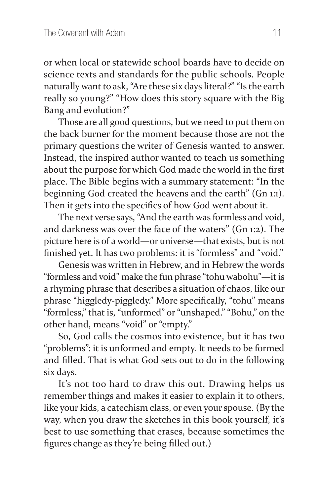or when local or statewide school boards have to decide on science texts and standards for the public schools. People naturally want to ask, "Are these six days literal?" "Is the earth really so young?" "How does this story square with the Big Bang and evolution?"

Those are all good questions, but we need to put them on the back burner for the moment because those are not the primary questions the writer of Genesis wanted to answer. Instead, the inspired author wanted to teach us something about the purpose for which God made the world in the first place. The Bible begins with a summary statement: "In the beginning God created the heavens and the earth" (Gn 1:1). Then it gets into the specifics of how God went about it.

The next verse says, "And the earth was formless and void, and darkness was over the face of the waters" (Gn 1:2). The picture here is of a world—or universe—that exists, but is not finished yet. It has two problems: it is "formless" and "void."

Genesis was written in Hebrew, and in Hebrew the words "formless and void" make the fun phrase "tohu wabohu"—it is a rhyming phrase that describes a situation of chaos, like our phrase "higgledy-piggledy." More specifically, "tohu" means "formless," that is, "unformed" or "unshaped." "Bohu," on the other hand, means "void" or "empty."

So, God calls the cosmos into existence, but it has two "problems": it is unformed and empty. It needs to be formed and filled. That is what God sets out to do in the following six days.

It's not too hard to draw this out. Drawing helps us remember things and makes it easier to explain it to others, like your kids, a catechism class, or even your spouse. (By the way, when you draw the sketches in this book yourself, it's best to use something that erases, because sometimes the figures change as they're being filled out.)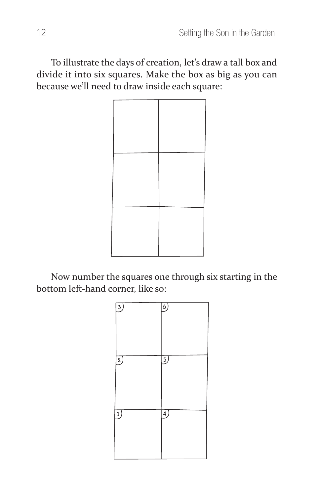To illustrate the days of creation, let's draw a tall box and divide it into six squares. Make the box as big as you can because we'll need to draw inside each square:

Now number the squares one through six starting in the bottom left-hand corner, like so:

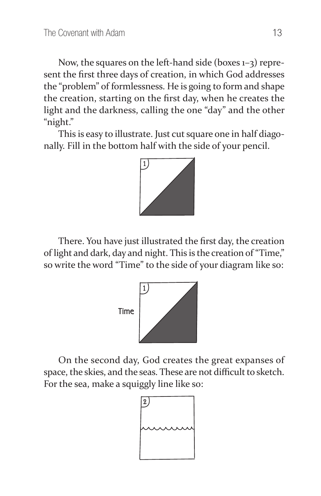Now, the squares on the left-hand side (boxes 1–3) represent the first three days of creation, in which God addresses the "problem" of formlessness. He is going to form and shape the creation, starting on the first day, when he creates the light and the darkness, calling the one "day" and the other "night."

This is easy to illustrate. Just cut square one in half diagonally. Fill in the bottom half with the side of your pencil.



There. You have just illustrated the first day, the creation of light and dark, day and night. This is the creation of "Time," so write the word "Time" to the side of your diagram like so:



On the second day, God creates the great expanses of space, the skies, and the seas. These are not difficult to sketch. For the sea, make a squiggly line like so:

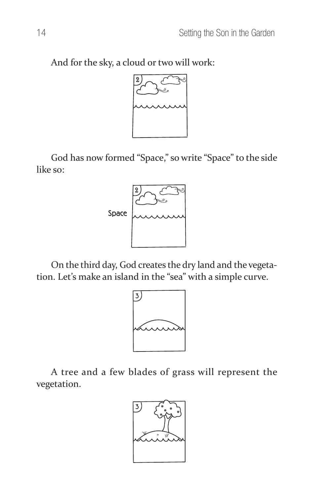And for the sky, a cloud or two will work:



God has now formed "Space," so write "Space" to the side like so:



On the third day, God creates the dry land and the vegetation. Let's make an island in the "sea" with a simple curve.



A tree and a few blades of grass will represent the vegetation.

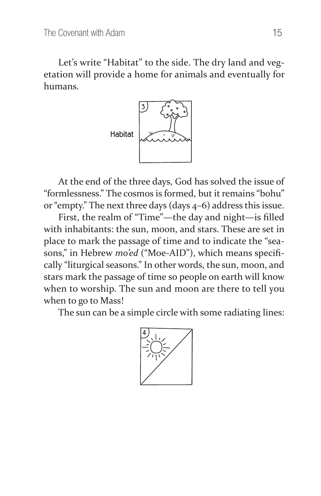Let's write "Habitat" to the side. The dry land and vegetation will provide a home for animals and eventually for humans.



At the end of the three days, God has solved the issue of "formlessness." The cosmos is formed, but it remains "bohu" or "empty." The next three days (days 4–6) address this issue.

First, the realm of "Time"—the day and night—is filled with inhabitants: the sun, moon, and stars. These are set in place to mark the passage of time and to indicate the "seasons," in Hebrew *mo'ed* ("Moe-AID"), which means specifically "liturgical seasons." In other words, the sun, moon, and stars mark the passage of time so people on earth will know when to worship. The sun and moon are there to tell you when to go to Mass!

The sun can be a simple circle with some radiating lines:

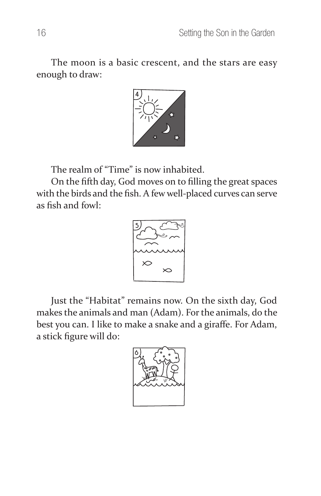The moon is a basic crescent, and the stars are easy enough to draw:



The realm of "Time" is now inhabited.

On the fifth day, God moves on to filling the great spaces with the birds and the fish. A few well-placed curves can serve as fish and fowl:



Just the "Habitat" remains now. On the sixth day, God makes the animals and man (Adam). For the animals, do the best you can. I like to make a snake and a giraffe. For Adam, a stick figure will do:

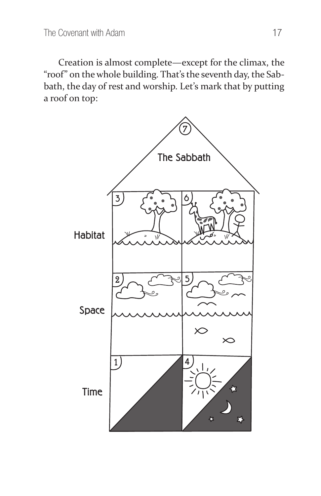Creation is almost complete—except for the climax, the "roof" on the whole building. That's the seventh day, the Sabbath, the day of rest and worship. Let's mark that by putting a roof on top:

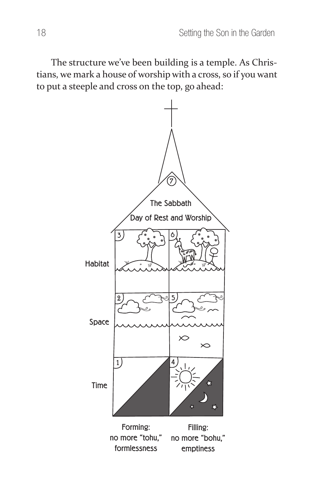The structure we've been building is a temple. As Christians, we mark a house of worship with a cross, so if you want to put a steeple and cross on the top, go ahead: